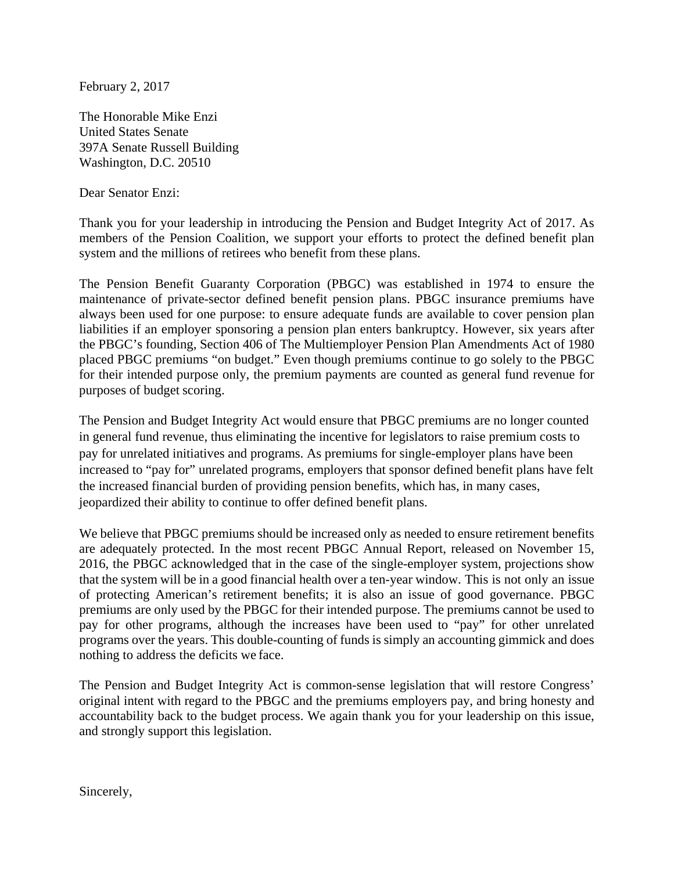February 2, 2017

The Honorable Mike Enzi United States Senate 397A Senate Russell Building Washington, D.C. 20510

Dear Senator Enzi:

Thank you for your leadership in introducing the Pension and Budget Integrity Act of 2017. As members of the Pension Coalition, we support your efforts to protect the defined benefit plan system and the millions of retirees who benefit from these plans.

The Pension Benefit Guaranty Corporation (PBGC) was established in 1974 to ensure the maintenance of private-sector defined benefit pension plans. PBGC insurance premiums have always been used for one purpose: to ensure adequate funds are available to cover pension plan liabilities if an employer sponsoring a pension plan enters bankruptcy. However, six years after the PBGC's founding, Section 406 of The Multiemployer Pension Plan Amendments Act of 1980 placed PBGC premiums "on budget." Even though premiums continue to go solely to the PBGC for their intended purpose only, the premium payments are counted as general fund revenue for purposes of budget scoring.

The Pension and Budget Integrity Act would ensure that PBGC premiums are no longer counted in general fund revenue, thus eliminating the incentive for legislators to raise premium costs to pay for unrelated initiatives and programs. As premiums for single-employer plans have been increased to "pay for" unrelated programs, employers that sponsor defined benefit plans have felt the increased financial burden of providing pension benefits, which has, in many cases, jeopardized their ability to continue to offer defined benefit plans.

We believe that PBGC premiums should be increased only as needed to ensure retirement benefits are adequately protected. In the most recent PBGC Annual Report, released on November 15, 2016, the PBGC acknowledged that in the case of the single-employer system, projections show that the system will be in a good financial health over a ten-year window. This is not only an issue of protecting American's retirement benefits; it is also an issue of good governance. PBGC premiums are only used by the PBGC for their intended purpose. The premiums cannot be used to pay for other programs, although the increases have been used to "pay" for other unrelated programs over the years. This double-counting of funds is simply an accounting gimmick and does nothing to address the deficits we face.

The Pension and Budget Integrity Act is common-sense legislation that will restore Congress' original intent with regard to the PBGC and the premiums employers pay, and bring honesty and accountability back to the budget process. We again thank you for your leadership on this issue, and strongly support this legislation.

Sincerely,